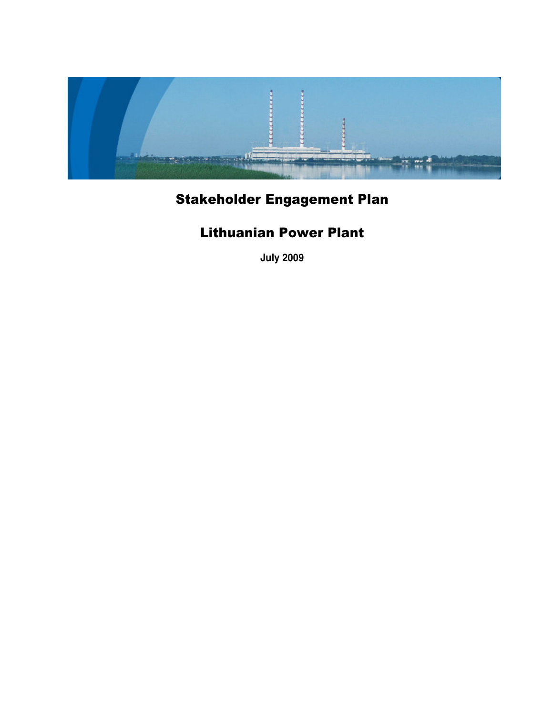

# Stakeholder Engagement Plan

# Lithuanian Power Plant

**July 2009**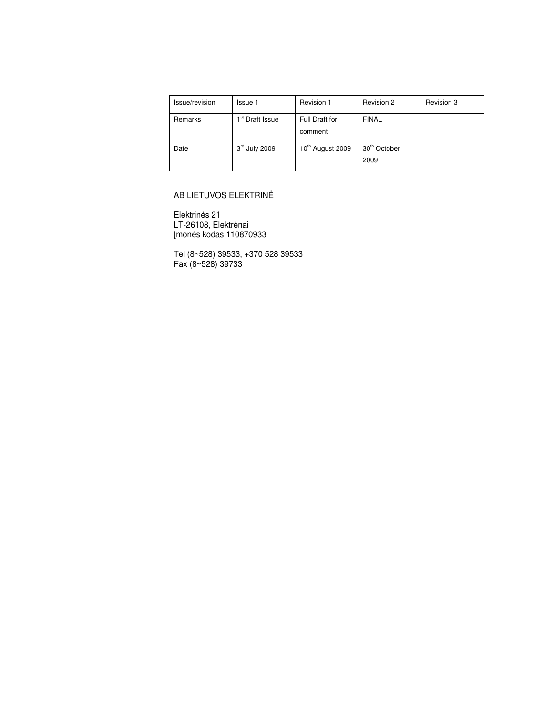| Issue/revision | Issue 1                     | Revision 1                   | Revision 2                       | Revision 3 |
|----------------|-----------------------------|------------------------------|----------------------------------|------------|
| Remarks        | 1 <sup>st</sup> Draft Issue | Full Draft for<br>comment    | <b>FINAL</b>                     |            |
| Date           | 3rd July 2009               | 10 <sup>th</sup> August 2009 | 30 <sup>th</sup> October<br>2009 |            |

## AB LIETUVOS ELEKTRINĖ

Elektrinės 21 LT-26108, Elektrėnai mon-s kodas 110870933

Tel (8~528) 39533, +370 528 39533 Fax (8~528) 39733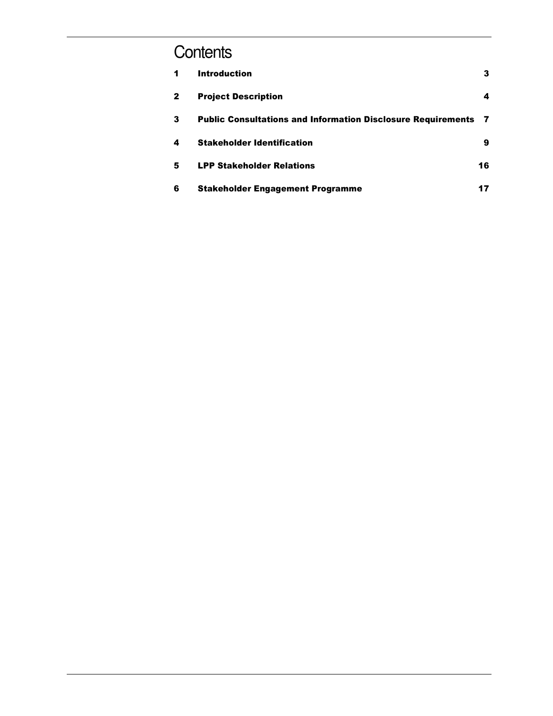# Contents

| 1            | <b>Introduction</b>                                                   | 3  |
|--------------|-----------------------------------------------------------------------|----|
| $\mathbf{2}$ | <b>Project Description</b>                                            | 4  |
| 3            | <b>Public Consultations and Information Disclosure Requirements 7</b> |    |
| 4            | <b>Stakeholder Identification</b>                                     | 9  |
| 5            | <b>LPP Stakeholder Relations</b>                                      | 16 |
| 6            | <b>Stakeholder Engagement Programme</b>                               | 17 |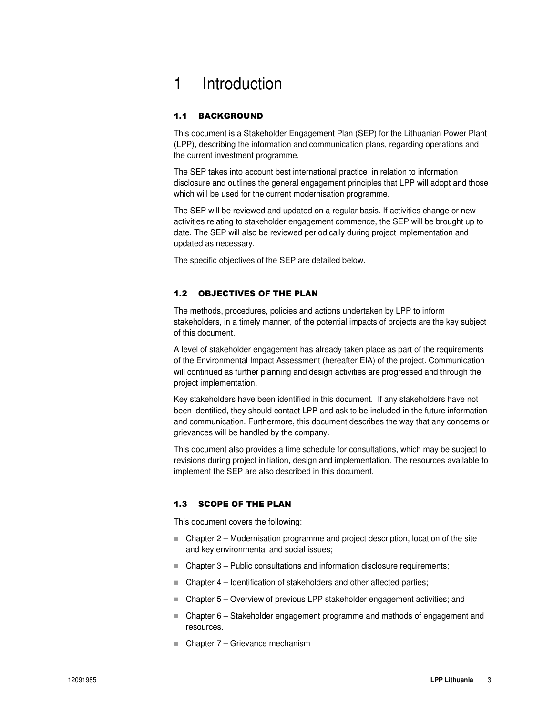# 1 Introduction

# 1.1 BACKGROUND

This document is a Stakeholder Engagement Plan (SEP) for the Lithuanian Power Plant (LPP), describing the information and communication plans, regarding operations and the current investment programme.

The SEP takes into account best international practice in relation to information disclosure and outlines the general engagement principles that LPP will adopt and those which will be used for the current modernisation programme.

The SEP will be reviewed and updated on a regular basis. If activities change or new activities relating to stakeholder engagement commence, the SEP will be brought up to date. The SEP will also be reviewed periodically during project implementation and updated as necessary.

The specific objectives of the SEP are detailed below.

## 1.2 OBJECTIVES OF THE PLAN

The methods, procedures, policies and actions undertaken by LPP to inform stakeholders, in a timely manner, of the potential impacts of projects are the key subject of this document.

A level of stakeholder engagement has already taken place as part of the requirements of the Environmental Impact Assessment (hereafter EIA) of the project. Communication will continued as further planning and design activities are progressed and through the project implementation.

Key stakeholders have been identified in this document. If any stakeholders have not been identified, they should contact LPP and ask to be included in the future information and communication. Furthermore, this document describes the way that any concerns or grievances will be handled by the company.

This document also provides a time schedule for consultations, which may be subject to revisions during project initiation, design and implementation. The resources available to implement the SEP are also described in this document.

# 1.3 SCOPE OF THE PLAN

This document covers the following:

- Chapter 2 Modernisation programme and project description, location of the site and key environmental and social issues;
- Chapter 3 Public consultations and information disclosure requirements;
- $\blacksquare$  Chapter 4 Identification of stakeholders and other affected parties;
- Chapter 5 Overview of previous LPP stakeholder engagement activities; and
- Chapter 6 Stakeholder engagement programme and methods of engagement and resources.
- Chapter 7 Grievance mechanism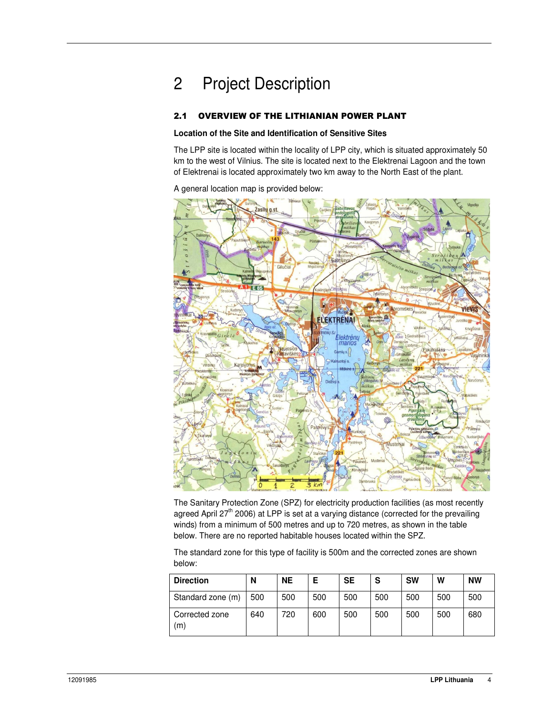# 2 Project Description

### 2.1 OVERVIEW OF THE LITHIANIAN POWER PLANT

#### **Location of the Site and Identification of Sensitive Sites**

The LPP site is located within the locality of LPP city, which is situated approximately 50 km to the west of Vilnius. The site is located next to the Elektrenai Lagoon and the town of Elektrenai is located approximately two km away to the North East of the plant.

A general location map is provided below:



The Sanitary Protection Zone (SPZ) for electricity production facilities (as most recently agreed April 27<sup>th</sup> 2006) at LPP is set at a varying distance (corrected for the prevailing winds) from a minimum of 500 metres and up to 720 metres, as shown in the table below. There are no reported habitable houses located within the SPZ.

The standard zone for this type of facility is 500m and the corrected zones are shown below:

| <b>Direction</b>      | N   | <b>NE</b> | Е   | <b>SE</b> | S   | <b>SW</b> | w   | <b>NW</b> |
|-----------------------|-----|-----------|-----|-----------|-----|-----------|-----|-----------|
| Standard zone (m)     | 500 | 500       | 500 | 500       | 500 | 500       | 500 | 500       |
| Corrected zone<br>(m) | 640 | 720       | 600 | 500       | 500 | 500       | 500 | 680       |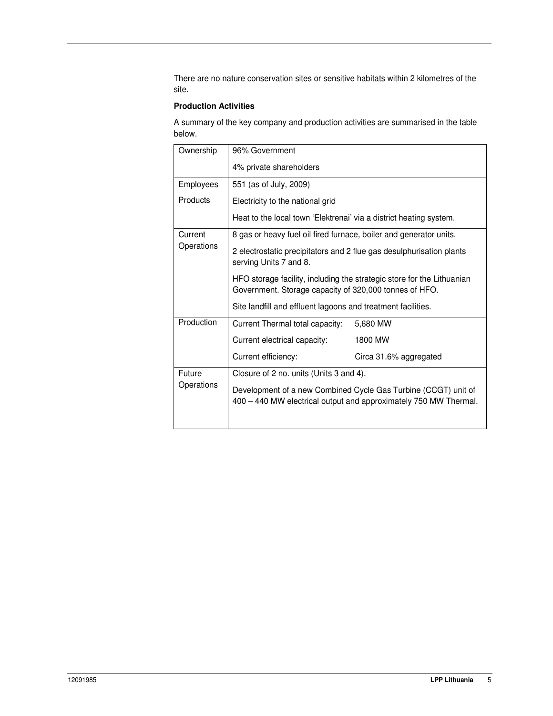There are no nature conservation sites or sensitive habitats within 2 kilometres of the site.

#### **Production Activities**

A summary of the key company and production activities are summarised in the table below.

| Ownership       | 96% Government                                                                                                                     |                                                                        |  |
|-----------------|------------------------------------------------------------------------------------------------------------------------------------|------------------------------------------------------------------------|--|
|                 | 4% private shareholders                                                                                                            |                                                                        |  |
| Employees       | 551 (as of July, 2009)                                                                                                             |                                                                        |  |
| <b>Products</b> | Electricity to the national grid                                                                                                   |                                                                        |  |
|                 | Heat to the local town 'Elektrenai' via a district heating system.                                                                 |                                                                        |  |
| Current         | 8 gas or heavy fuel oil fired furnace, boiler and generator units.                                                                 |                                                                        |  |
| Operations      | 2 electrostatic precipitators and 2 flue gas desulphurisation plants<br>serving Units 7 and 8.                                     |                                                                        |  |
|                 | Government. Storage capacity of 320,000 tonnes of HFO.                                                                             | HFO storage facility, including the strategic store for the Lithuanian |  |
|                 | Site landfill and effluent lagoons and treatment facilities.                                                                       |                                                                        |  |
| Production      | Current Thermal total capacity:                                                                                                    | 5,680 MW                                                               |  |
|                 | Current electrical capacity:                                                                                                       | 1800 MW                                                                |  |
|                 | Current efficiency:                                                                                                                | Circa 31.6% aggregated                                                 |  |
| Future          | Closure of 2 no. units (Units 3 and 4).                                                                                            |                                                                        |  |
| Operations      | Development of a new Combined Cycle Gas Turbine (CCGT) unit of<br>400 - 440 MW electrical output and approximately 750 MW Thermal. |                                                                        |  |
|                 |                                                                                                                                    |                                                                        |  |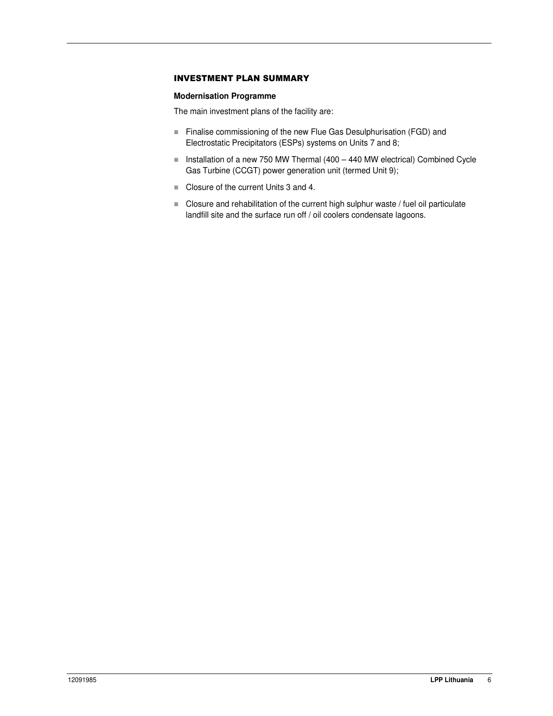#### **INVESTMENT PLAN SUMMARY**

#### **Modernisation Programme**

The main investment plans of the facility are:

- Finalise commissioning of the new Flue Gas Desulphurisation (FGD) and Electrostatic Precipitators (ESPs) systems on Units 7 and 8;
- Installation of a new 750 MW Thermal (400 440 MW electrical) Combined Cycle Gas Turbine (CCGT) power generation unit (termed Unit 9);
- Closure of the current Units 3 and 4.
- Closure and rehabilitation of the current high sulphur waste / fuel oil particulate landfill site and the surface run off / oil coolers condensate lagoons.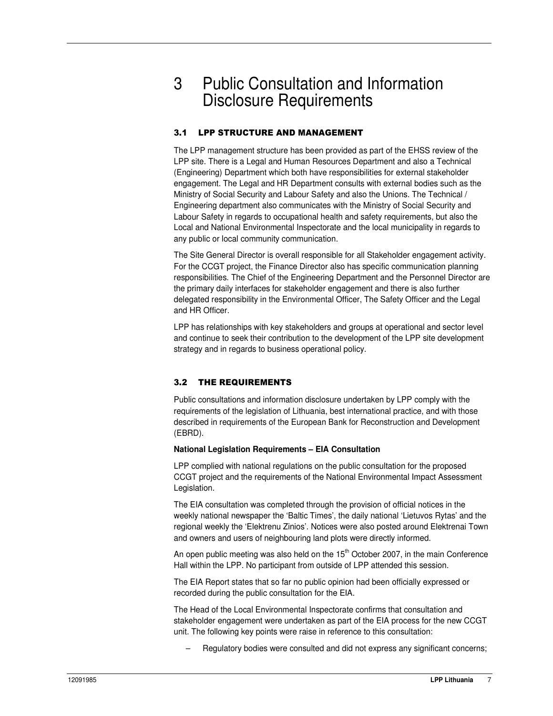# 3 Public Consultation and Information Disclosure Requirements

## 3.1 LPP STRUCTURE AND MANAGEMENT

The LPP management structure has been provided as part of the EHSS review of the LPP site. There is a Legal and Human Resources Department and also a Technical (Engineering) Department which both have responsibilities for external stakeholder engagement. The Legal and HR Department consults with external bodies such as the Ministry of Social Security and Labour Safety and also the Unions. The Technical / Engineering department also communicates with the Ministry of Social Security and Labour Safety in regards to occupational health and safety requirements, but also the Local and National Environmental Inspectorate and the local municipality in regards to any public or local community communication.

The Site General Director is overall responsible for all Stakeholder engagement activity. For the CCGT project, the Finance Director also has specific communication planning responsibilities. The Chief of the Engineering Department and the Personnel Director are the primary daily interfaces for stakeholder engagement and there is also further delegated responsibility in the Environmental Officer, The Safety Officer and the Legal and HR Officer.

LPP has relationships with key stakeholders and groups at operational and sector level and continue to seek their contribution to the development of the LPP site development strategy and in regards to business operational policy.

# 3.2 THE REQUIREMENTS

Public consultations and information disclosure undertaken by LPP comply with the requirements of the legislation of Lithuania, best international practice, and with those described in requirements of the European Bank for Reconstruction and Development (EBRD).

#### **National Legislation Requirements – EIA Consultation**

LPP complied with national regulations on the public consultation for the proposed CCGT project and the requirements of the National Environmental Impact Assessment Legislation.

The EIA consultation was completed through the provision of official notices in the weekly national newspaper the 'Baltic Times', the daily national 'Lietuvos Rytas' and the regional weekly the 'Elektrenu Zinios'. Notices were also posted around Elektrenai Town and owners and users of neighbouring land plots were directly informed.

An open public meeting was also held on the 15<sup>th</sup> October 2007, in the main Conference Hall within the LPP. No participant from outside of LPP attended this session.

The EIA Report states that so far no public opinion had been officially expressed or recorded during the public consultation for the EIA.

The Head of the Local Environmental Inspectorate confirms that consultation and stakeholder engagement were undertaken as part of the EIA process for the new CCGT unit. The following key points were raise in reference to this consultation:

– Regulatory bodies were consulted and did not express any significant concerns;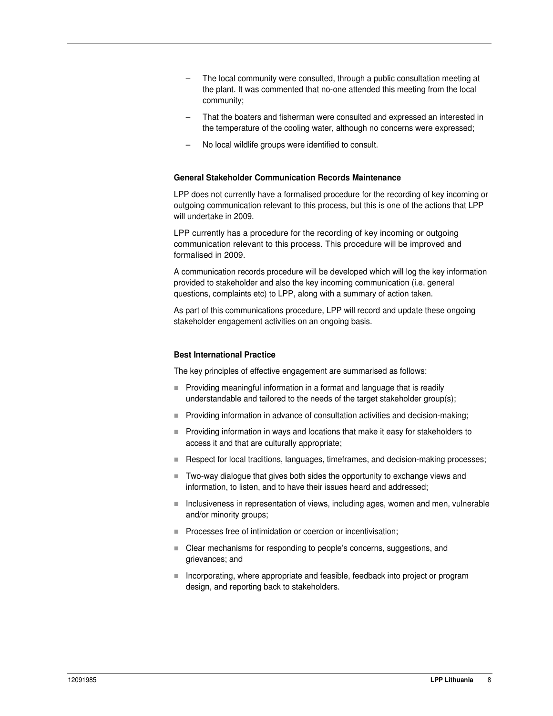- The local community were consulted, through a public consultation meeting at the plant. It was commented that no-one attended this meeting from the local community;
- That the boaters and fisherman were consulted and expressed an interested in the temperature of the cooling water, although no concerns were expressed;
- No local wildlife groups were identified to consult.

#### **General Stakeholder Communication Records Maintenance**

LPP does not currently have a formalised procedure for the recording of key incoming or outgoing communication relevant to this process, but this is one of the actions that LPP will undertake in 2009.

LPP currently has a procedure for the recording of key incoming or outgoing communication relevant to this process. This procedure will be improved and formalised in 2009.

A communication records procedure will be developed which will log the key information provided to stakeholder and also the key incoming communication (i.e. general questions, complaints etc) to LPP, along with a summary of action taken.

As part of this communications procedure, LPP will record and update these ongoing stakeholder engagement activities on an ongoing basis.

#### **Best International Practice**

The key principles of effective engagement are summarised as follows:

- **Providing meaningful information in a format and language that is readily** understandable and tailored to the needs of the target stakeholder group(s);
- **Providing information in advance of consultation activities and decision-making;**
- **Providing information in ways and locations that make it easy for stakeholders to** access it and that are culturally appropriate;
- Respect for local traditions, languages, timeframes, and decision-making processes;
- Two-way dialogue that gives both sides the opportunity to exchange views and information, to listen, and to have their issues heard and addressed;
- Inclusiveness in representation of views, including ages, women and men, vulnerable and/or minority groups;
- **Processes free of intimidation or coercion or incentivisation;**
- Clear mechanisms for responding to people's concerns, suggestions, and grievances; and
- Incorporating, where appropriate and feasible, feedback into project or program design, and reporting back to stakeholders.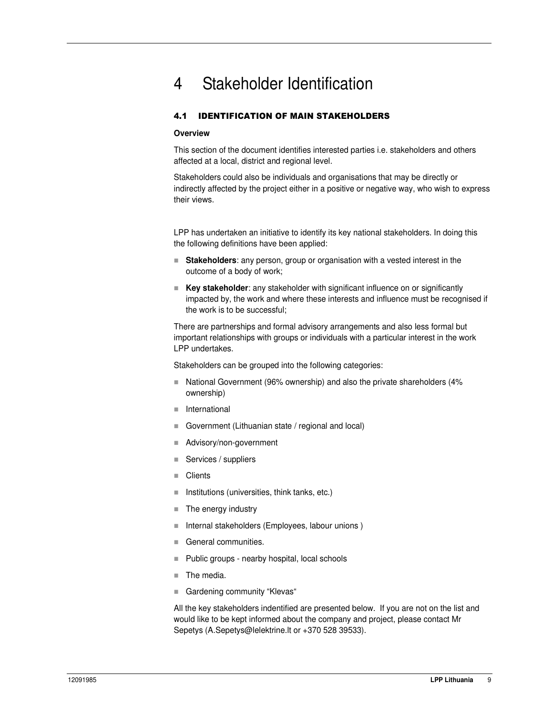# 4 Stakeholder Identification

## 4.1 IDENTIFICATION OF MAIN STAKEHOLDERS

#### **Overview**

This section of the document identifies interested parties i.e. stakeholders and others affected at a local, district and regional level.

Stakeholders could also be individuals and organisations that may be directly or indirectly affected by the project either in a positive or negative way, who wish to express their views.

LPP has undertaken an initiative to identify its key national stakeholders. In doing this the following definitions have been applied:

- **Stakeholders**: any person, group or organisation with a vested interest in the outcome of a body of work;
- **Key stakeholder**: any stakeholder with significant influence on or significantly impacted by, the work and where these interests and influence must be recognised if the work is to be successful;

There are partnerships and formal advisory arrangements and also less formal but important relationships with groups or individuals with a particular interest in the work LPP undertakes.

Stakeholders can be grouped into the following categories:

- National Government (96% ownership) and also the private shareholders (4% ownership)
- **International**
- Government (Lithuanian state / regional and local)
- Advisory/non-government
- $\blacksquare$  Services / suppliers
- Clients
- $\blacksquare$  Institutions (universities, think tanks, etc.)
- The energy industry
- $\blacksquare$  Internal stakeholders (Employees, labour unions)
- General communities.
- $\blacksquare$  Public groups nearby hospital, local schools
- The media.
- Gardening community "Klevas"

All the key stakeholders indentified are presented below. If you are not on the list and would like to be kept informed about the company and project, please contact Mr Sepetys (A.Sepetys@lelektrine.lt or +370 528 39533).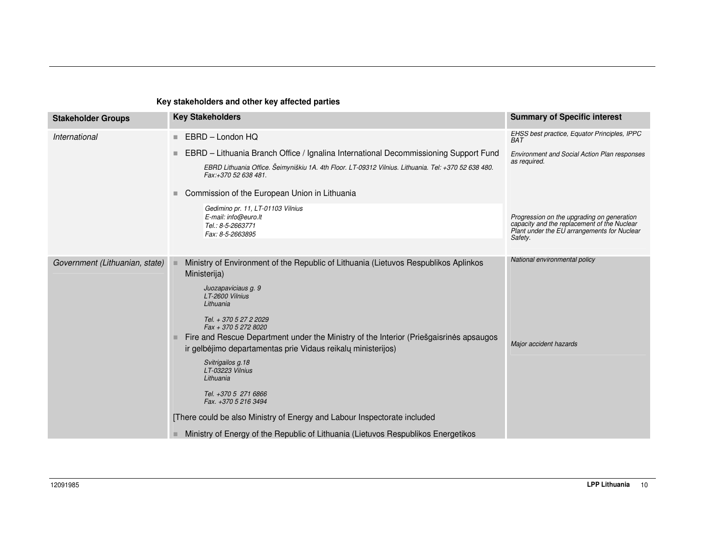## **Key stakeholders and other key affected parties**

| <b>Stakeholder Groups</b>      | <b>Key Stakeholders</b>                                                                                                                                                                                                                                                                                                                                                                                                                                                                                                                                                                                                                       | <b>Summary of Specific interest</b>                                                                                                                 |
|--------------------------------|-----------------------------------------------------------------------------------------------------------------------------------------------------------------------------------------------------------------------------------------------------------------------------------------------------------------------------------------------------------------------------------------------------------------------------------------------------------------------------------------------------------------------------------------------------------------------------------------------------------------------------------------------|-----------------------------------------------------------------------------------------------------------------------------------------------------|
| International                  | EBRD - London HQ<br>۰.                                                                                                                                                                                                                                                                                                                                                                                                                                                                                                                                                                                                                        | EHSS best practice, Equator Principles, IPPC<br>BAT                                                                                                 |
|                                | EBRD - Lithuania Branch Office / Ignalina International Decommissioning Support Fund<br>۰<br>EBRD Lithuania Office. Šeimyniškiu 1A. 4th Floor. LT-09312 Vilnius. Lithuania. Tel: +370 52 638 480.<br>Fax:+370 52 638 481.                                                                                                                                                                                                                                                                                                                                                                                                                     | <b>Environment and Social Action Plan responses</b><br>as required.                                                                                 |
|                                | Commission of the European Union in Lithuania                                                                                                                                                                                                                                                                                                                                                                                                                                                                                                                                                                                                 |                                                                                                                                                     |
|                                | Gedimino pr. 11, LT-01103 Vilnius<br>E-mail: info@euro.lt<br>Tel.: 8-5-2663771<br>Fax: 8-5-2663895                                                                                                                                                                                                                                                                                                                                                                                                                                                                                                                                            | Progression on the upgrading on generation<br>capacity and the replacement of the Nuclear<br>Plant under the EU arrangements for Nuclear<br>Safety. |
| Government (Lithuanian, state) | Ministry of Environment of the Republic of Lithuania (Lietuvos Respublikos Aplinkos<br>Ministerija)<br>Juozapaviciaus g. 9<br>LT-2600 Vilnius<br>Lithuania<br>Tel. + 370 5 27 2 2029<br>Fax + 370 5 272 8020<br>Fire and Rescue Department under the Ministry of the Interior (Priešgaisrines apsaugos<br>ir gelbėjimo departamentas prie Vidaus reikalų ministerijos)<br>Svitrigailos g.18<br>LT-03223 Vilnius<br>Lithuania<br>Tel. +370 5 271 6866<br>Fax. +370 5 216 3494<br>[There could be also Ministry of Energy and Labour Inspectorate included<br>Ministry of Energy of the Republic of Lithuania (Lietuvos Respublikos Energetikos | National environmental policy<br>Major accident hazards                                                                                             |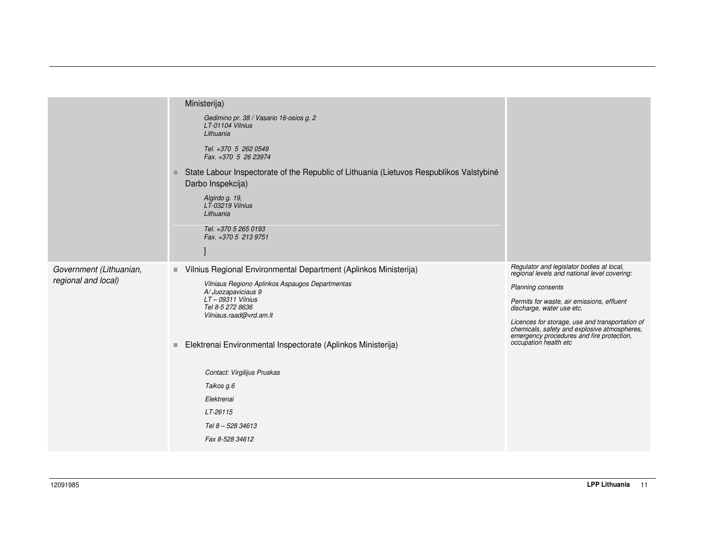|                                                | Ministerija)<br>Gedimino pr. 38 / Vasario 16-osios g. 2<br>LT-01104 Vilnius<br>Lithuania<br>Tel. +370 5 262 0549<br>Fax. +370 5 26 23974<br>State Labour Inspectorate of the Republic of Lithuania (Lietuvos Respublikos Valstybinė<br>ш<br>Darbo Inspekcija)<br>Algirdo g. 19,<br>LT-03219 Vilnius<br>Lithuania<br>Tel. +370 5 265 0193<br>Fax. +370 5 213 9751                                                        |                                                                                                                                                                                                                                                                                                                                                                    |
|------------------------------------------------|-------------------------------------------------------------------------------------------------------------------------------------------------------------------------------------------------------------------------------------------------------------------------------------------------------------------------------------------------------------------------------------------------------------------------|--------------------------------------------------------------------------------------------------------------------------------------------------------------------------------------------------------------------------------------------------------------------------------------------------------------------------------------------------------------------|
| Government (Lithuanian,<br>regional and local) | Vilnius Regional Environmental Department (Aplinkos Ministerija)<br>π.<br>Vilniaus Regiono Aplinkos Aspaugos Departmentas<br>A/Juozapaviciaus 9<br>$LT - 09311$ Vilnius<br>Tel 8-5 272 8636<br>Vilniaus.raad@vrd.am.lt<br>Elektrenai Environmental Inspectorate (Aplinkos Ministerija)<br>$\blacksquare$<br>Contact: Virgilijus Pruskas<br>Taikos g.6<br>Elektrenai<br>LT-26115<br>Tel 8 - 528 34613<br>Fax 8-528 34612 | Regulator and legislator bodies at local,<br>regional levels and national level covering:<br>Planning consents<br>Permits for waste, air emissions, effluent<br>discharge, water use etc.<br>Licences for storage, use and transportation of<br>chemicals, safety and explosive atmospheres,<br>emergency procedures and fire protection,<br>occupation health etc |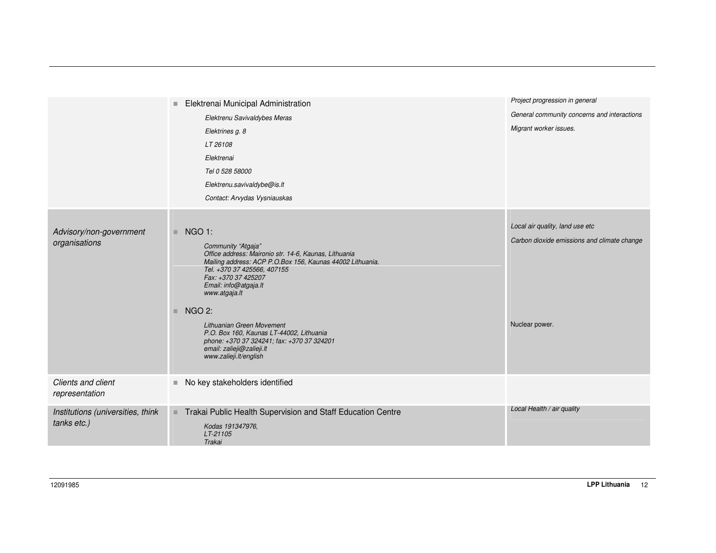|                                                  | Elektrenai Municipal Administration<br>$\blacksquare$<br>Elektrenu Savivaldybes Meras<br>Elektrines g. 8<br>LT 26108<br>Elektrenai<br>Tel 0 528 58000<br>Elektrenu.savivaldybe@is.lt<br>Contact: Arvydas Vysniauskas                                                                                                                                                                                                                                          | Project progression in general<br>General community concerns and interactions<br>Migrant worker issues. |
|--------------------------------------------------|---------------------------------------------------------------------------------------------------------------------------------------------------------------------------------------------------------------------------------------------------------------------------------------------------------------------------------------------------------------------------------------------------------------------------------------------------------------|---------------------------------------------------------------------------------------------------------|
| Advisory/non-government<br>organisations         | <b>NGO 1:</b><br>Community "Atgaja"<br>Office address: Maironio str. 14-6, Kaunas, Lithuania<br>Mailing address: ACP P.O.Box 156, Kaunas 44002 Lithuania.<br>Tel. +370 37 425566, 407155<br>Fax: +370 37 425207<br>Email: info@atgaja.lt<br>www.atgaja.lt<br><b>NGO 2:</b><br>ш<br>Lithuanian Green Movement<br>P.O. Box 160, Kaunas LT-44002, Lithuania<br>phone: +370 37 324241; fax: +370 37 324201<br>email: zalieji@zalieji.lt<br>www.zalieji.lt/english | Local air quality, land use etc<br>Carbon dioxide emissions and climate change<br>Nuclear power.        |
| Clients and client<br>representation             | No key stakeholders identified<br>u,                                                                                                                                                                                                                                                                                                                                                                                                                          |                                                                                                         |
| Institutions (universities, think<br>tanks etc.) | Trakai Public Health Supervision and Staff Education Centre<br>Kodas 191347976,<br>LT-21105<br>Trakai                                                                                                                                                                                                                                                                                                                                                         | Local Health / air quality                                                                              |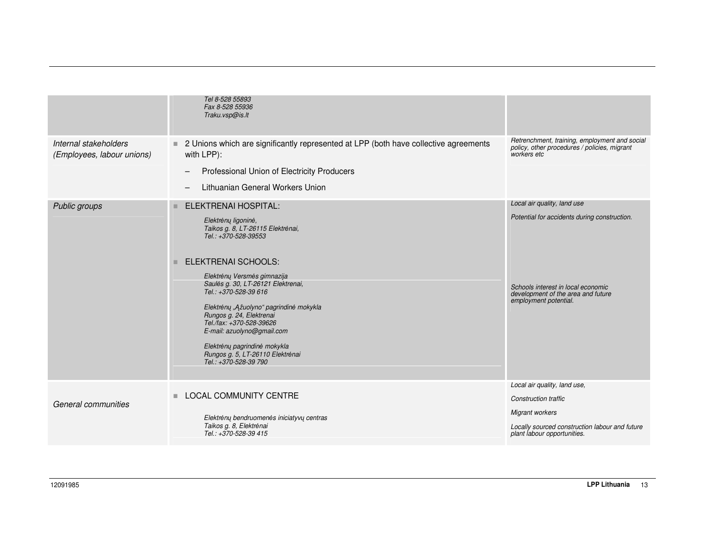|                                                     | Tel 8-528 55893<br>Fax 8-528 55936<br>Traku.vsp@is.lt                                                                                                                                                                                                                                                                    |                                                                                                              |
|-----------------------------------------------------|--------------------------------------------------------------------------------------------------------------------------------------------------------------------------------------------------------------------------------------------------------------------------------------------------------------------------|--------------------------------------------------------------------------------------------------------------|
| Internal stakeholders<br>(Employees, labour unions) | 2 Unions which are significantly represented at LPP (both have collective agreements<br>with LPP):<br>Professional Union of Electricity Producers<br>—<br>Lithuanian General Workers Union<br>—                                                                                                                          | Retrenchment, training, employment and social<br>policy, other procedures / policies, migrant<br>workers etc |
| Public groups                                       | ELEKTRENAI HOSPITAL:                                                                                                                                                                                                                                                                                                     | Local air quality, land use                                                                                  |
|                                                     | Elektrėnų ligoninė,<br>Taikos g. 8, LT-26115 Elektrėnai,<br>Tel.: +370-528-39553                                                                                                                                                                                                                                         | Potential for accidents during construction.                                                                 |
|                                                     | <b>ELEKTRENAI SCHOOLS:</b>                                                                                                                                                                                                                                                                                               |                                                                                                              |
|                                                     | Elektrėnų Versmės gimnazija<br>Saulės g. 30, LT-26121 Elektrenai,<br>Tel.: +370-528-39 616<br>Elektrėnų "Ažuolyno" pagrindinė mokykla<br>Rungos g. 24, Elektrenai<br>Tel./fax: +370-528-39626<br>E-mail: azuolyno@gmail.com<br>Elektrėnų pagrindinė mokykla<br>Rungos g. 5, LT-26110 Elektrėnai<br>Tel.: +370-528-39 790 | Schools interest in local economic<br>development of the area and future<br>employment potential.            |
|                                                     |                                                                                                                                                                                                                                                                                                                          | Local air quality, land use,                                                                                 |
| General communities                                 | <b>LOCAL COMMUNITY CENTRE</b>                                                                                                                                                                                                                                                                                            | <b>Construction traffic</b>                                                                                  |
|                                                     | Elektrėnų bendruomenės iniciatyvų centras<br>Taikos g. 8, Elektrėnai<br>Tel.: +370-528-39 415                                                                                                                                                                                                                            | Migrant workers<br>Locally sourced construction labour and future<br>plant labour opportunities.             |
|                                                     |                                                                                                                                                                                                                                                                                                                          |                                                                                                              |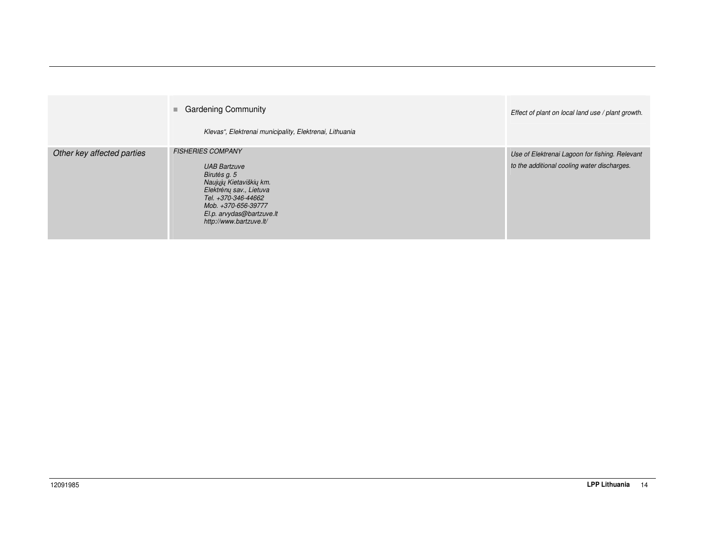|                            | ■ Gardening Community<br>Klevas", Elektrenai municipality, Elektrenai, Lithuania                                                                                                                                            | Effect of plant on local land use / plant growth.                                             |
|----------------------------|-----------------------------------------------------------------------------------------------------------------------------------------------------------------------------------------------------------------------------|-----------------------------------------------------------------------------------------------|
| Other key affected parties | <b>FISHERIES COMPANY</b><br><b>UAB Bartzuve</b><br>Birutės g. 5<br>Naujųjų Kietaviškių km.<br>Elektrėnų sav., Lietuva<br>Tel. +370-346-44662<br>Mob. +370-656-39777<br>El.p. arvydas@bartzuve.lt<br>http://www.bartzuve.lt/ | Use of Elektrenai Lagoon for fishing. Relevant<br>to the additional cooling water discharges. |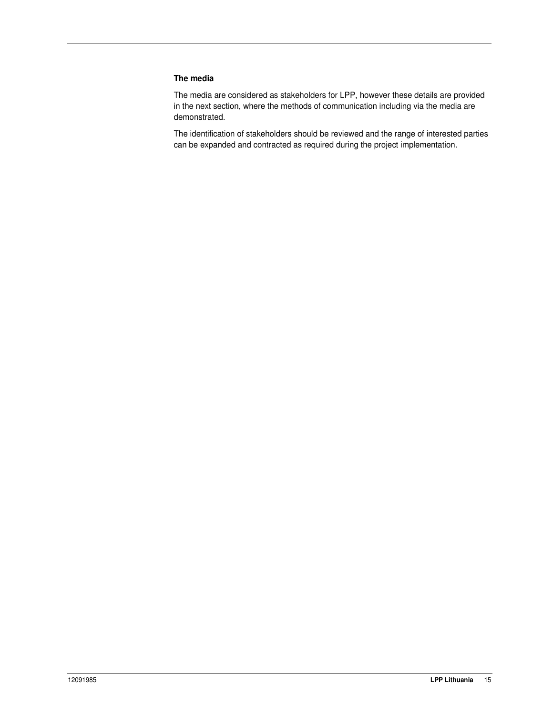#### **The media**

The media are considered as stakeholders for LPP, however these details are provided in the next section, where the methods of communication including via the media are demonstrated.

The identification of stakeholders should be reviewed and the range of interested parties can be expanded and contracted as required during the project implementation.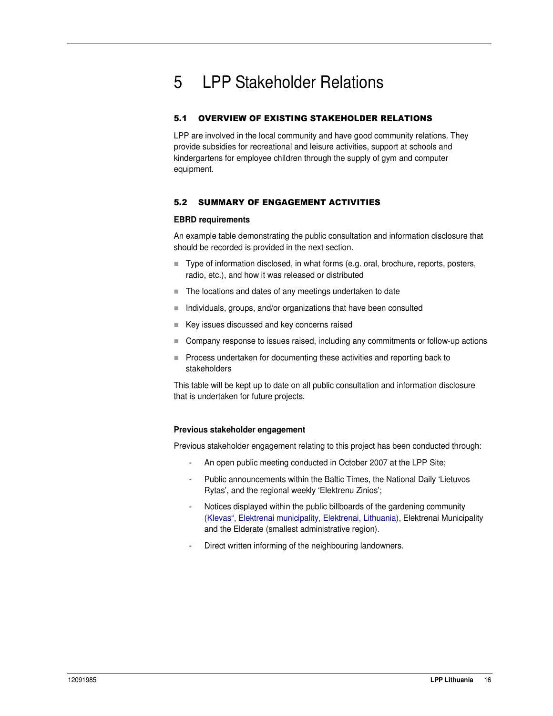# 5 LPP Stakeholder Relations

## 5.1 OVERVIEW OF EXISTING STAKEHOLDER RELATIONS

LPP are involved in the local community and have good community relations. They provide subsidies for recreational and leisure activities, support at schools and kindergartens for employee children through the supply of gym and computer equipment.

### 5.2 SUMMARY OF ENGAGEMENT ACTIVITIES

#### **EBRD requirements**

An example table demonstrating the public consultation and information disclosure that should be recorded is provided in the next section.

- Type of information disclosed, in what forms (e.g. oral, brochure, reports, posters, radio, etc.), and how it was released or distributed
- The locations and dates of any meetings undertaken to date
- $\blacksquare$  Individuals, groups, and/or organizations that have been consulted
- Key issues discussed and key concerns raised
- Company response to issues raised, including any commitments or follow-up actions
- **Process undertaken for documenting these activities and reporting back to** stakeholders

This table will be kept up to date on all public consultation and information disclosure that is undertaken for future projects.

#### **Previous stakeholder engagement**

Previous stakeholder engagement relating to this project has been conducted through:

- An open public meeting conducted in October 2007 at the LPP Site;
- Public announcements within the Baltic Times, the National Daily 'Lietuvos Rytas', and the regional weekly 'Elektrenu Zinios';
- Notices displayed within the public billboards of the gardening community (Klevas", Elektrenai municipality, Elektrenai, Lithuania), Elektrenai Municipality and the Elderate (smallest administrative region).
- Direct written informing of the neighbouring landowners.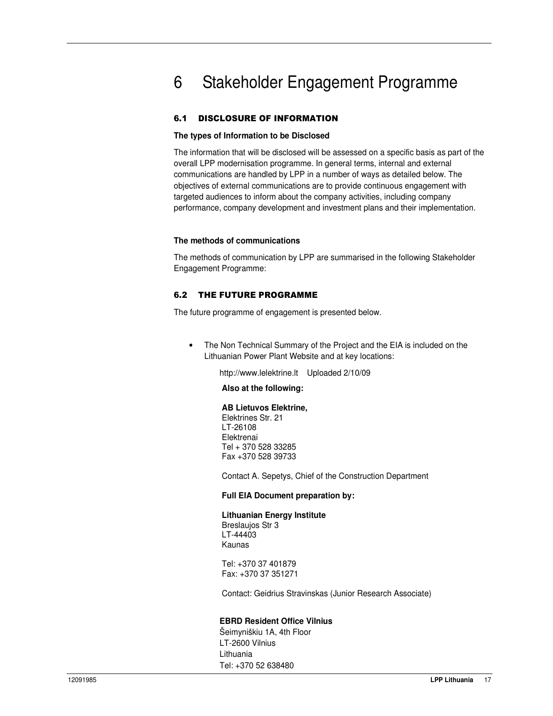# 6 Stakeholder Engagement Programme

### 6.1 DISCLOSURE OF INFORMATION

#### **The types of Information to be Disclosed**

The information that will be disclosed will be assessed on a specific basis as part of the overall LPP modernisation programme. In general terms, internal and external communications are handled by LPP in a number of ways as detailed below. The objectives of external communications are to provide continuous engagement with targeted audiences to inform about the company activities, including company performance, company development and investment plans and their implementation.

#### **The methods of communications**

The methods of communication by LPP are summarised in the following Stakeholder Engagement Programme:

#### 6.2 THE FUTURE PROGRAMME

The future programme of engagement is presented below.

• The Non Technical Summary of the Project and the EIA is included on the Lithuanian Power Plant Website and at key locations:

http://www.lelektrine.lt Uploaded 2/10/09

#### **Also at the following:**

**AB Lietuvos Elektrine,** Elektrines Str. 21 LT-26108 Elektrenai Tel + 370 528 33285 Fax +370 528 39733

Contact A. Sepetys, Chief of the Construction Department

#### **Full EIA Document preparation by:**

#### **Lithuanian Energy Institute**

Breslaujos Str 3 LT-44403 Kaunas

Tel: +370 37 401879 Fax: +370 37 351271

Contact: Geidrius Stravinskas (Junior Research Associate)

#### **EBRD Resident Office Vilnius**

Šeimyniškiu 1A, 4th Floor LT-2600 Vilnius Lithuania Tel: +370 52 638480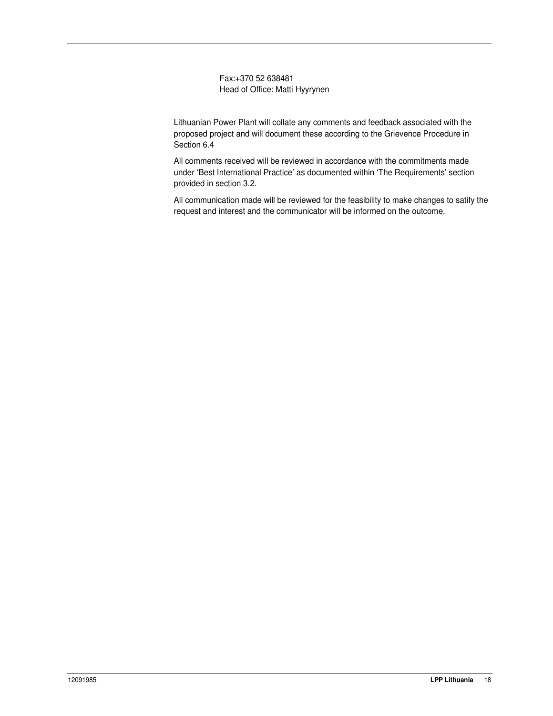Fax:+370 52 638481 Head of Office: Matti Hyyrynen

Lithuanian Power Plant will collate any comments and feedback associated with the proposed project and will document these according to the Grievence Procedure in Section 6.4

All comments received will be reviewed in accordance with the commitments made under 'Best International Practice' as documented within 'The Requirements' section provided in section 3.2.

All communication made will be reviewed for the feasibility to make changes to satify the request and interest and the communicator will be informed on the outcome.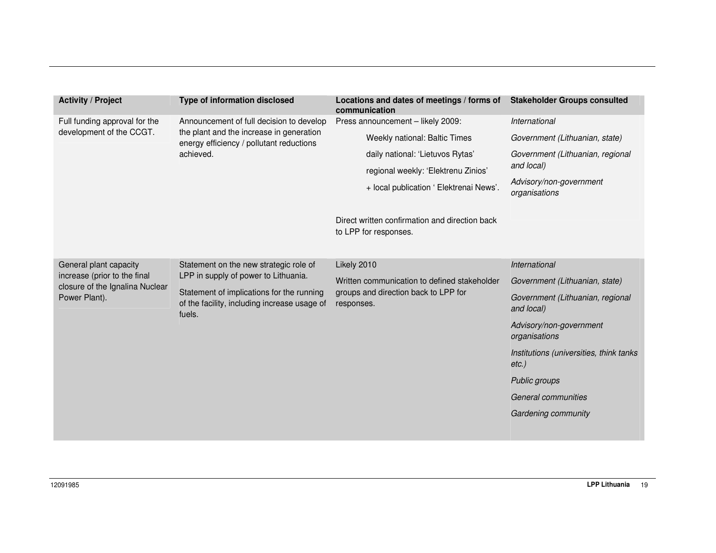| <b>Activity / Project</b>                                       | Type of information disclosed                                                                                                                                                         | Locations and dates of meetings / forms of<br>communication             | <b>Stakeholder Groups consulted</b>                 |
|-----------------------------------------------------------------|---------------------------------------------------------------------------------------------------------------------------------------------------------------------------------------|-------------------------------------------------------------------------|-----------------------------------------------------|
| Full funding approval for the                                   | Announcement of full decision to develop<br>the plant and the increase in generation                                                                                                  | Press announcement - likely 2009:                                       | International                                       |
| development of the CCGT.                                        |                                                                                                                                                                                       |                                                                         | Weekly national: Baltic Times                       |
|                                                                 | energy efficiency / pollutant reductions<br>achieved.                                                                                                                                 | daily national: 'Lietuvos Rytas'                                        | Government (Lithuanian, regional                    |
|                                                                 |                                                                                                                                                                                       | regional weekly: 'Elektrenu Zinios'                                     | and local)                                          |
|                                                                 |                                                                                                                                                                                       | + local publication ' Elektrenai News'.                                 | Advisory/non-government<br>organisations            |
|                                                                 |                                                                                                                                                                                       | Direct written confirmation and direction back<br>to LPP for responses. |                                                     |
| General plant capacity                                          | Statement on the new strategic role of<br>LPP in supply of power to Lithuania.<br>Statement of implications for the running<br>of the facility, including increase usage of<br>fuels. | Likely 2010                                                             | International                                       |
| increase (prior to the final<br>closure of the Ignalina Nuclear |                                                                                                                                                                                       | Written communication to defined stakeholder                            | Government (Lithuanian, state)                      |
| Power Plant).                                                   |                                                                                                                                                                                       | groups and direction back to LPP for<br>responses.                      | Government (Lithuanian, regional<br>and local)      |
|                                                                 |                                                                                                                                                                                       |                                                                         | Advisory/non-government<br>organisations            |
|                                                                 |                                                                                                                                                                                       |                                                                         | Institutions (universities, think tanks<br>$etc.$ ) |
|                                                                 |                                                                                                                                                                                       |                                                                         | Public groups                                       |
|                                                                 |                                                                                                                                                                                       |                                                                         | General communities                                 |
|                                                                 |                                                                                                                                                                                       |                                                                         | Gardening community                                 |
|                                                                 |                                                                                                                                                                                       |                                                                         |                                                     |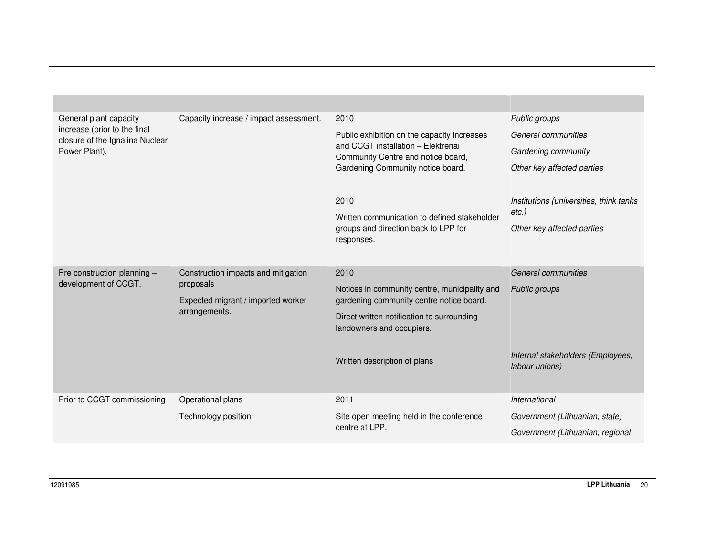| General plant capacity                                          | Capacity increase / impact assessment.                           | 2010                                                                     | Public groups                            |
|-----------------------------------------------------------------|------------------------------------------------------------------|--------------------------------------------------------------------------|------------------------------------------|
| increase (prior to the final<br>closure of the Ignalina Nuclear |                                                                  | Public exhibition on the capacity increases                              | General communities                      |
| Power Plant).                                                   |                                                                  | and CCGT installation - Elektrenai<br>Community Centre and notice board, | Gardening community                      |
|                                                                 |                                                                  | Gardening Community notice board.                                        | Other key affected parties               |
|                                                                 |                                                                  |                                                                          |                                          |
|                                                                 |                                                                  | 2010                                                                     | Institutions (universities, think tanks) |
|                                                                 |                                                                  | Written communication to defined stakeholder                             | $etc.$ )                                 |
|                                                                 |                                                                  | groups and direction back to LPP for<br>responses.                       | Other key affected parties               |
|                                                                 |                                                                  |                                                                          |                                          |
| Pre construction planning -                                     | Construction impacts and mitigation                              | 2010                                                                     | General communities                      |
| development of CCGT.                                            | proposals<br>Expected migrant / imported worker<br>arrangements. | Notices in community centre, municipality and                            | Public groups                            |
|                                                                 |                                                                  | gardening community centre notice board.                                 |                                          |
|                                                                 |                                                                  | Direct written notification to surrounding<br>landowners and occupiers.  |                                          |
|                                                                 |                                                                  |                                                                          |                                          |
|                                                                 |                                                                  | Written description of plans                                             | Internal stakeholders (Employees,        |
|                                                                 |                                                                  |                                                                          | labour unions)                           |
|                                                                 |                                                                  |                                                                          |                                          |
| Prior to CCGT commissioning                                     | Operational plans                                                | 2011                                                                     | International                            |
|                                                                 | Technology position                                              | Site open meeting held in the conference<br>centre at LPP.               | Government (Lithuanian, state)           |
|                                                                 |                                                                  |                                                                          | Government (Lithuanian, regional         |

**COL**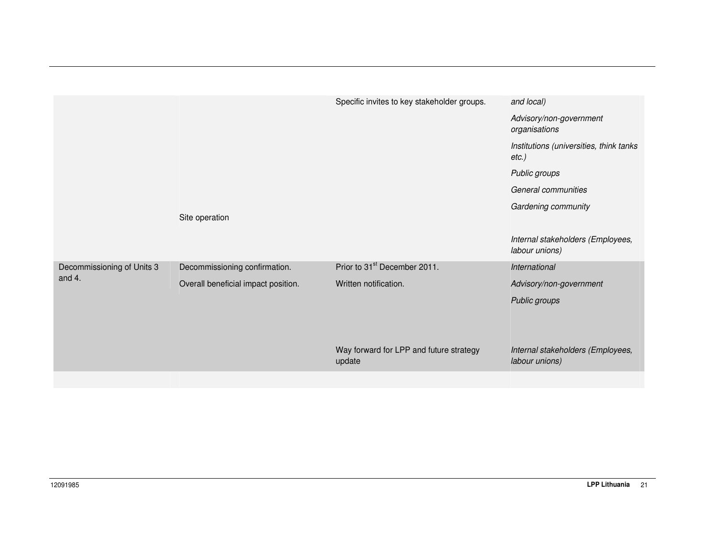|                            |                                     | Specific invites to key stakeholder groups.       | and local)                                          |
|----------------------------|-------------------------------------|---------------------------------------------------|-----------------------------------------------------|
|                            |                                     |                                                   | Advisory/non-government<br>organisations            |
|                            |                                     |                                                   | Institutions (universities, think tanks<br>$etc.$ ) |
|                            |                                     |                                                   | Public groups                                       |
|                            |                                     |                                                   | General communities                                 |
|                            |                                     |                                                   | Gardening community                                 |
|                            | Site operation                      |                                                   |                                                     |
|                            |                                     |                                                   | Internal stakeholders (Employees,<br>labour unions) |
| Decommissioning of Units 3 | Decommissioning confirmation.       | Prior to 31 <sup>st</sup> December 2011.          | International                                       |
| and 4.                     | Overall beneficial impact position. | Written notification.                             | Advisory/non-government                             |
|                            |                                     |                                                   | Public groups                                       |
|                            |                                     |                                                   |                                                     |
|                            |                                     |                                                   |                                                     |
|                            |                                     | Way forward for LPP and future strategy<br>update | Internal stakeholders (Employees,<br>labour unions) |
|                            |                                     |                                                   |                                                     |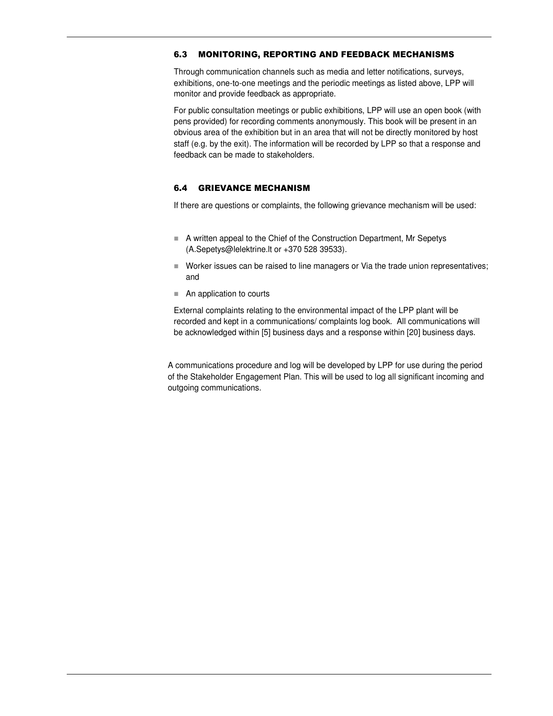#### 6.3 MONITORING, REPORTING AND FEEDBACK MECHANISMS

Through communication channels such as media and letter notifications, surveys, exhibitions, one-to-one meetings and the periodic meetings as listed above, LPP will monitor and provide feedback as appropriate.

For public consultation meetings or public exhibitions, LPP will use an open book (with pens provided) for recording comments anonymously. This book will be present in an obvious area of the exhibition but in an area that will not be directly monitored by host staff (e.g. by the exit). The information will be recorded by LPP so that a response and feedback can be made to stakeholders.

#### 6.4 GRIEVANCE MECHANISM

If there are questions or complaints, the following grievance mechanism will be used:

- A written appeal to the Chief of the Construction Department, Mr Sepetys (A.Sepetys@lelektrine.lt or +370 528 39533).
- Worker issues can be raised to line managers or Via the trade union representatives; and
- An application to courts

External complaints relating to the environmental impact of the LPP plant will be recorded and kept in a communications/ complaints log book. All communications will be acknowledged within [5] business days and a response within [20] business days.

A communications procedure and log will be developed by LPP for use during the period of the Stakeholder Engagement Plan. This will be used to log all significant incoming and outgoing communications.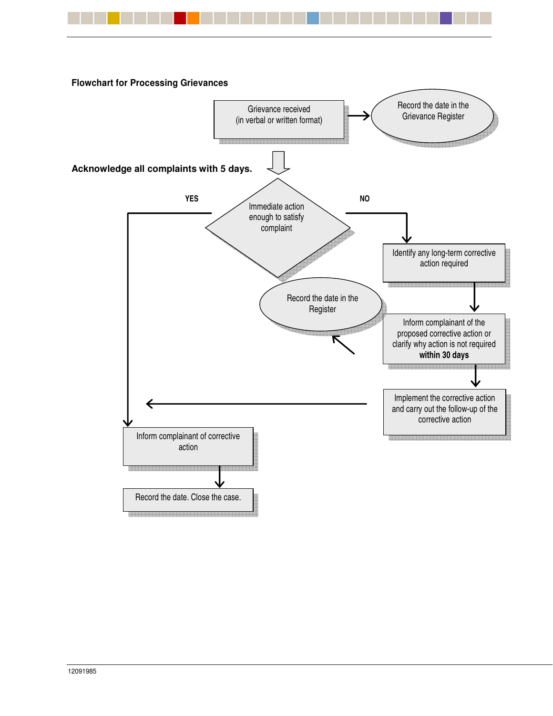

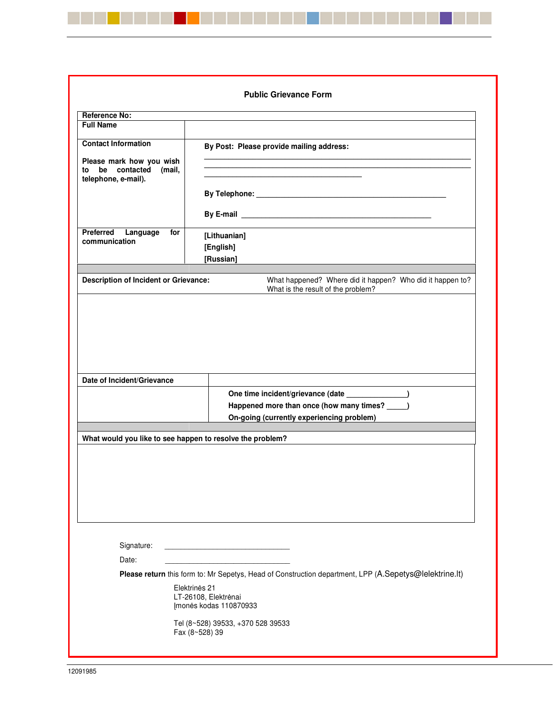|                                                                                  | <b>Public Grievance Form</b>                                                                                                                                              |  |
|----------------------------------------------------------------------------------|---------------------------------------------------------------------------------------------------------------------------------------------------------------------------|--|
| <b>Reference No:</b>                                                             |                                                                                                                                                                           |  |
| <b>Full Name</b>                                                                 |                                                                                                                                                                           |  |
| <b>Contact Information</b><br>Please mark how you wish<br>to be contacted (mail, | By Post: Please provide mailing address:                                                                                                                                  |  |
| telephone, e-mail).                                                              |                                                                                                                                                                           |  |
|                                                                                  |                                                                                                                                                                           |  |
| Preferred Language<br>for<br>communication                                       | [Lithuanian]<br>[English]<br>[Russian]                                                                                                                                    |  |
| Description of Incident or Grievance:                                            | What happened? Where did it happen? Who did it happen to?<br>What is the result of the problem?                                                                           |  |
|                                                                                  |                                                                                                                                                                           |  |
|                                                                                  | One time incident/grievance (date ______________)<br>Happened more than once (how many times? ____)                                                                       |  |
| Date of Incident/Grievance                                                       | On-going (currently experiencing problem)                                                                                                                                 |  |
| What would you like to see happen to resolve the problem?                        |                                                                                                                                                                           |  |
|                                                                                  |                                                                                                                                                                           |  |
| Signature:<br>Date:                                                              |                                                                                                                                                                           |  |
|                                                                                  |                                                                                                                                                                           |  |
|                                                                                  | Please return this form to: Mr Sepetys, Head of Construction department, LPP (A.Sepetys@lelektrine.lt)<br>Elektrinės 21<br>LT-26108, Elektrėnai<br>Imonės kodas 110870933 |  |

\_\_\_\_\_\_\_\_\_\_\_\_\_\_\_\_\_\_

a ka

H

a da kasa